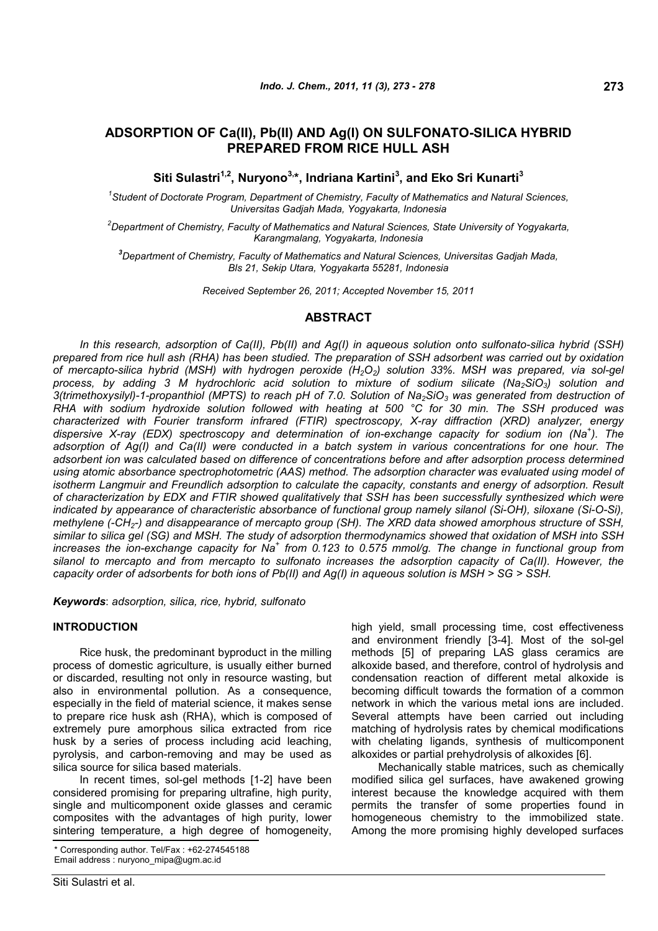# **ADSORPTION OF Ca(II), Pb(II) AND Ag(I) ON SULFONATO-SILICA HYBRID PREPARED FROM RICE HULL ASH**

**Siti Sulastri1,2, Nuryono3, \*, Indriana Kartini<sup>3</sup> , and Eko Sri Kunarti<sup>3</sup>**

*1 Student of Doctorate Program, Department of Chemistry, Faculty of Mathematics and Natural Sciences, Universitas Gadjah Mada, Yogyakarta, Indonesia*

*<sup>2</sup>Department of Chemistry, Faculty of Mathematics and Natural Sciences, State University of Yogyakarta, Karangmalang, Yogyakarta, Indonesia*

*<sup>3</sup>Department of Chemistry, Faculty of Mathematics and Natural Sciences, Universitas Gadjah Mada, Bls 21, Sekip Utara, Yogyakarta 55281, Indonesia*

*Received September 26, 2011; Accepted November 15, 2011*

# **ABSTRACT**

*In this research, adsorption of Ca(II), Pb(II) and Ag(I) in aqueous solution onto sulfonato-silica hybrid (SSH) prepared from rice hull ash (RHA) has been studied. The preparation of SSH adsorbent was carried out by oxidation of mercapto-silica hybrid (MSH) with hydrogen peroxide (H2O2) solution 33%. MSH was prepared, via sol-gel process, by adding 3 M hydrochloric acid solution to mixture of sodium silicate (Na2SiO3) solution and 3(trimethoxysilyl)-1-propanthiol (MPTS) to reach pH of 7.0. Solution of Na2SiO<sup>3</sup> was generated from destruction of RHA with sodium hydroxide solution followed with heating at 500 °C for 30 min. The SSH produced was characterized with Fourier transform infrared (FTIR) spectroscopy, X-ray diffraction (XRD) analyzer, energy dispersive X-ray (EDX) spectroscopy and determination of ion-exchange capacity for sodium ion (Na<sup>+</sup> ). The adsorption of Ag(I) and Ca(II) were conducted in a batch system in various concentrations for one hour. The adsorbent ion was calculated based on difference of concentrations before and after adsorption process determined using atomic absorbance spectrophotometric (AAS) method. The adsorption character was evaluated using model of isotherm Langmuir and Freundlich adsorption to calculate the capacity, constants and energy of adsorption. Result of characterization by EDX and FTIR showed qualitatively that SSH has been successfully synthesized which were indicated by appearance of characteristic absorbance of functional group namely silanol (Si-OH), siloxane (Si-O-Si), methylene (-CH2-) and disappearance of mercapto group (SH). The XRD data showed amorphous structure of SSH, similar to silica gel (SG) and MSH. The study of adsorption thermodynamics showed that oxidation of MSH into SSH increases the ion-exchange capacity for Na<sup>+</sup> from 0.123 to 0.575 mmol/g. The change in functional group from silanol to mercapto and from mercapto to sulfonato increases the adsorption capacity of Ca(II). However, the capacity order of adsorbents for both ions of Pb(II) and Ag(I) in aqueous solution is MSH > SG > SSH.*

*Keywords*: *adsorption, silica, rice, hybrid, sulfonato*

#### **INTRODUCTION**

Rice husk, the predominant byproduct in the milling process of domestic agriculture, is usually either burned or discarded, resulting not only in resource wasting, but also in environmental pollution. As a consequence, especially in the field of material science, it makes sense to prepare rice husk ash (RHA), which is composed of extremely pure amorphous silica extracted from rice husk by a series of process including acid leaching, pyrolysis, and carbon-removing and may be used as silica source for silica based materials.

In recent times, sol-gel methods [1-2] have been considered promising for preparing ultrafine, high purity, single and multicomponent oxide glasses and ceramic composites with the advantages of high purity, lower sintering temperature, a high degree of homogeneity,

high yield, small processing time, cost effectiveness and environment friendly [3-4]. Most of the sol-gel methods [5] of preparing LAS glass ceramics are alkoxide based, and therefore, control of hydrolysis and condensation reaction of different metal alkoxide is becoming difficult towards the formation of a common network in which the various metal ions are included. Several attempts have been carried out including matching of hydrolysis rates by chemical modifications with chelating ligands, synthesis of multicomponent alkoxides or partial prehydrolysis of alkoxides [6].

Mechanically stable matrices, such as chemically modified silica gel surfaces, have awakened growing interest because the knowledge acquired with them permits the transfer of some properties found in homogeneous chemistry to the immobilized state. Among the more promising highly developed surfaces

<sup>\*</sup> Corresponding author. Tel/Fax : +62-274545188 Email address : nuryono\_mipa@ugm.ac.id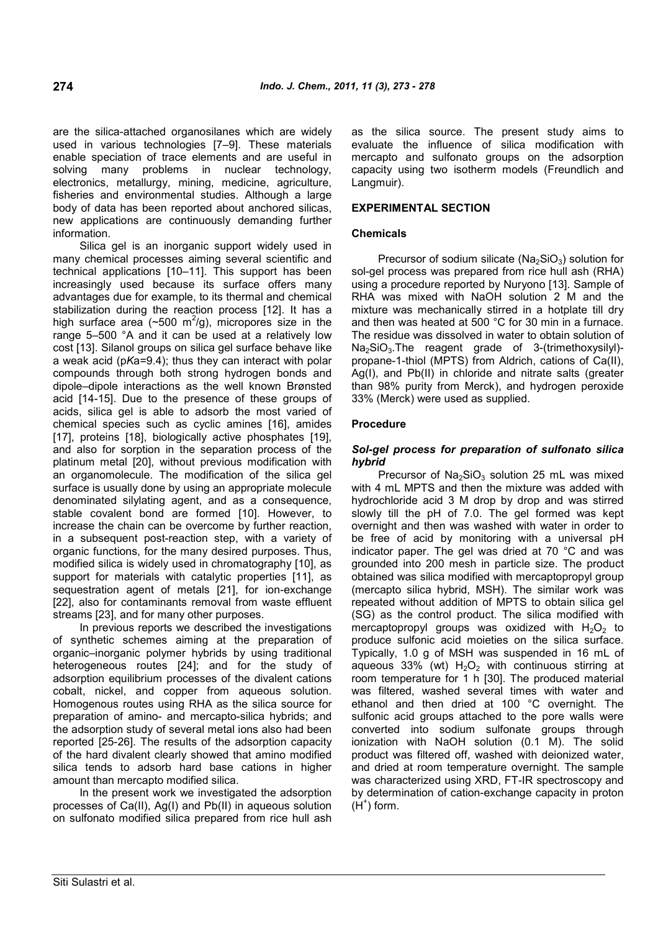are the silica-attached organosilanes which are widely used in various technologies [7–9]. These materials enable speciation of trace elements and are useful in solving many problems in nuclear technology, electronics, metallurgy, mining, medicine, agriculture, fisheries and environmental studies. Although a large body of data has been reported about anchored silicas, new applications are continuously demanding further information.

Silica gel is an inorganic support widely used in many chemical processes aiming several scientific and technical applications [10–11]. This support has been increasingly used because its surface offers many advantages due for example, to its thermal and chemical stabilization during the reaction process [12]. It has a high surface area ( $\sim$ 500 m<sup>2</sup>/g), micropores size in the range 5–500 °A and it can be used at a relatively low cost [13]. Silanol groups on silica gel surface behave like a weak acid (p*K*a=9.4); thus they can interact with polar compounds through both strong hydrogen bonds and dipole–dipole interactions as the well known Brønsted acid [14-15]. Due to the presence of these groups of acids, silica gel is able to adsorb the most varied of chemical species such as cyclic amines [16], amides [17], proteins [18], biologically active phosphates [19], and also for sorption in the separation process of the platinum metal [20], without previous modification with an organomolecule. The modification of the silica gel surface is usually done by using an appropriate molecule denominated silylating agent, and as a consequence, stable covalent bond are formed [10]. However, to increase the chain can be overcome by further reaction, in a subsequent post-reaction step, with a variety of organic functions, for the many desired purposes. Thus, modified silica is widely used in chromatography [10], as support for materials with catalytic properties [11], as sequestration agent of metals [21], for ion-exchange [22], also for contaminants removal from waste effluent streams [23], and for many other purposes.

In previous reports we described the investigations of synthetic schemes aiming at the preparation of organic–inorganic polymer hybrids by using traditional heterogeneous routes [24]; and for the study of adsorption equilibrium processes of the divalent cations cobalt, nickel, and copper from aqueous solution. Homogenous routes using RHA as the silica source for preparation of amino- and mercapto-silica hybrids; and the adsorption study of several metal ions also had been reported [25-26]. The results of the adsorption capacity of the hard divalent clearly showed that amino modified silica tends to adsorb hard base cations in higher amount than mercapto modified silica.

In the present work we investigated the adsorption processes of Ca(II), Ag(I) and Pb(II) in aqueous solution on sulfonato modified silica prepared from rice hull ash as the silica source. The present study aims to evaluate the influence of silica modification with mercapto and sulfonato groups on the adsorption capacity using two isotherm models (Freundlich and Langmuir).

### **EXPERIMENTAL SECTION**

### **Chemicals**

Precursor of sodium silicate ( $Na<sub>2</sub>SiO<sub>3</sub>$ ) solution for sol-gel process was prepared from rice hull ash (RHA) using a procedure reported by Nuryono [13]. Sample of RHA was mixed with NaOH solution 2 M and the mixture was mechanically stirred in a hotplate till dry and then was heated at 500 °C for 30 min in a furnace. The residue was dissolved in water to obtain solution of Na<sub>2</sub>SiO<sub>3</sub>.The reagent grade of 3-(trimethoxysilyl)propane-1-thiol (MPTS) from Aldrich, cations of Ca(II), Ag(I), and Pb(II) in chloride and nitrate salts (greater than 98% purity from Merck), and hydrogen peroxide 33% (Merck) were used as supplied.

### **Procedure**

### *Sol-gel process for preparation of sulfonato silica hybrid*

Precursor of  $Na<sub>2</sub>SiO<sub>3</sub>$  solution 25 mL was mixed with 4 mL MPTS and then the mixture was added with hydrochloride acid 3 M drop by drop and was stirred slowly till the pH of 7.0. The gel formed was kept overnight and then was washed with water in order to be free of acid by monitoring with a universal pH indicator paper. The gel was dried at 70 °C and was grounded into 200 mesh in particle size. The product obtained was silica modified with mercaptopropyl group (mercapto silica hybrid, MSH). The similar work was repeated without addition of MPTS to obtain silica gel (SG) as the control product. The silica modified with mercaptopropyl groups was oxidized with  $H_2O_2$  to produce sulfonic acid moieties on the silica surface. Typically, 1.0 g of MSH was suspended in 16 mL of aqueous 33% (wt)  $H_2O_2$  with continuous stirring at room temperature for 1 h [30]. The produced material was filtered, washed several times with water and ethanol and then dried at 100 °C overnight. The sulfonic acid groups attached to the pore walls were converted into sodium sulfonate groups through ionization with NaOH solution (0.1 M). The solid product was filtered off, washed with deionized water, and dried at room temperature overnight. The sample was characterized using XRD, FT-IR spectroscopy and by determination of cation-exchange capacity in proton  $(H^+)$  form.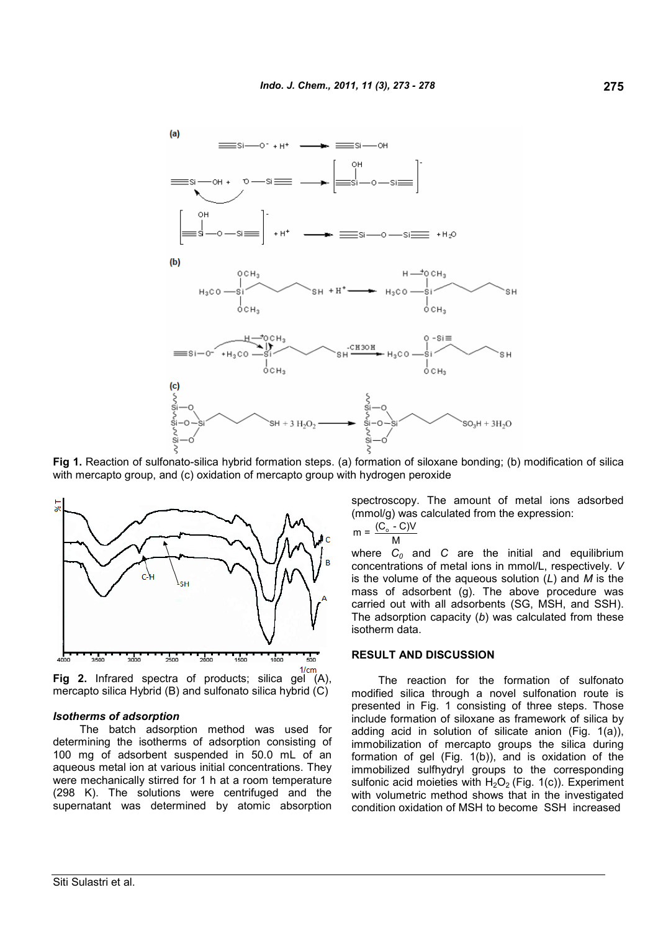

**Fig 1.** Reaction of sulfonato-silica hybrid formation steps. (a) formation of siloxane bonding; (b) modification of silica with mercapto group, and (c) oxidation of mercapto group with hydrogen peroxide



**Fig 2.** Infrared spectra of products; silica gel (A), mercapto silica Hybrid (B) and sulfonato silica hybrid (C)

#### *Isotherms of adsorption*

The batch adsorption method was used for determining the isotherms of adsorption consisting of 100 mg of adsorbent suspended in 50.0 mL of an aqueous metal ion at various initial concentrations. They were mechanically stirred for 1 h at a room temperature (298 K). The solutions were centrifuged and the supernatant was determined by atomic absorption spectroscopy. The amount of metal ions adsorbed (mmol/g) was calculated from the expression:

$$
m = \frac{(C_o - C)V}{M}
$$

where *C<sup>0</sup>* and *C* are the initial and equilibrium concentrations of metal ions in mmol/L, respectively. *V* is the volume of the aqueous solution (*L*) and *M* is the mass of adsorbent (g). The above procedure was carried out with all adsorbents (SG, MSH, and SSH). The adsorption capacity (*b*) was calculated from these isotherm data.

#### **RESULT AND DISCUSSION**

The reaction for the formation of sulfonato modified silica through a novel sulfonation route is presented in Fig. 1 consisting of three steps. Those include formation of siloxane as framework of silica by adding acid in solution of silicate anion (Fig. 1(a)), immobilization of mercapto groups the silica during formation of gel (Fig. 1(b)), and is oxidation of the immobilized sulfhydryl groups to the corresponding sulfonic acid moieties with  $H_2O_2$  (Fig. 1(c)). Experiment with volumetric method shows that in the investigated condition oxidation of MSH to become SSH increased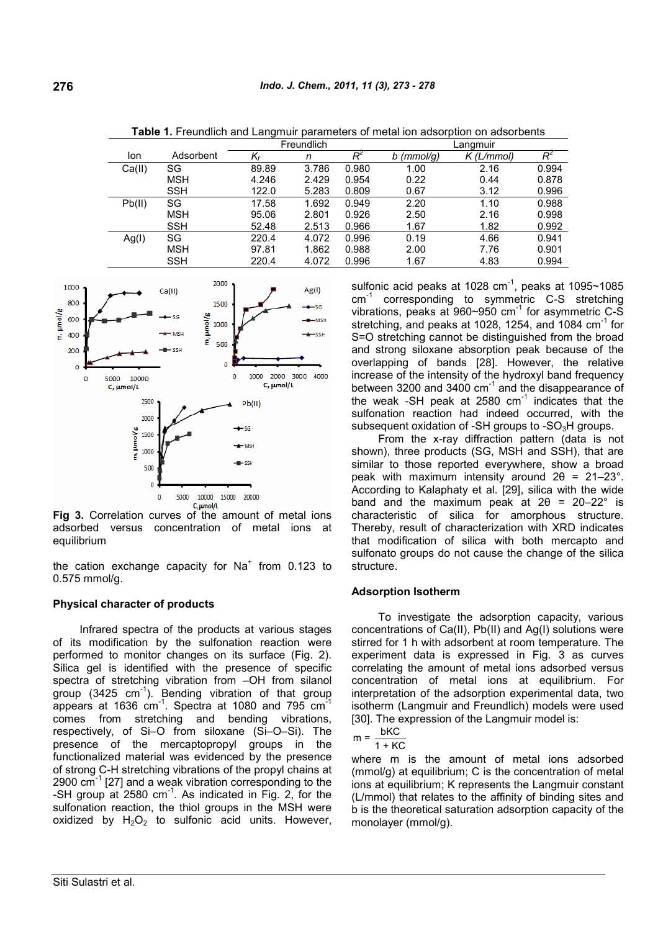|        |            | Freundlich                |       |       | Langmuir     |              |       |
|--------|------------|---------------------------|-------|-------|--------------|--------------|-------|
| lon    | Adsorbent  | $\mathsf{K}_{\mathsf{f}}$ | n     | $R^2$ | $b$ (mmol/g) | $K$ (L/mmol) | Rź    |
| Ca(II) | SG         | 89.89                     | 3.786 | 0.980 | 1.00         | 2.16         | 0.994 |
|        | MSH        | 4.246                     | 2.429 | 0.954 | 0.22         | 0.44         | 0.878 |
|        | <b>SSH</b> | 122.0                     | 5.283 | 0.809 | 0.67         | 3.12         | 0.996 |
| Pb(II) | SG         | 17.58                     | 1.692 | 0.949 | 2.20         | 1.10         | 0.988 |
|        | MSH        | 95.06                     | 2.801 | 0.926 | 2.50         | 2.16         | 0.998 |
|        | <b>SSH</b> | 52.48                     | 2.513 | 0.966 | 1.67         | 1.82         | 0.992 |
| Ag(1)  | SG         | 220.4                     | 4.072 | 0.996 | 0.19         | 4.66         | 0.941 |
|        | MSH        | 97.81                     | 1.862 | 0.988 | 2.00         | 7.76         | 0.901 |
|        | SSH        | 220.4                     | 4.072 | 0.996 | 1.67         | 4.83         | 0.994 |

**Table 1.** Freundlich and Langmuir parameters of metal ion adsorption on adsorbents



**Fig 3.** Correlation curves of the amount of metal ions adsorbed versus concentration of metal ions at equilibrium

the cation exchange capacity for Na<sup>+</sup> from 0.123 to 0.575 mmol/g.

### **Physical character of products**

Infrared spectra of the products at various stages of its modification by the sulfonation reaction were performed to monitor changes on its surface (Fig. 2). Silica gel is identified with the presence of specific spectra of stretching vibration from –OH from silanol  $\frac{1}{2}$  group (3425 cm<sup>-1</sup>). Bending vibration of that group appears at 1636  $cm^{-1}$ . Spectra at 1080 and 795  $cm^{-1}$ comes from stretching and bending vibrations, respectively, of Si–O from siloxane (Si–O–Si). The presence of the mercaptopropyl groups in the functionalized material was evidenced by the presence of strong C-H stretching vibrations of the propyl chains at 2900  $\text{cm}^{-1}$  [27] and a weak vibration corresponding to the -SH group at  $2580 \text{ cm}^{-1}$ . As indicated in Fig. 2, for the sulfonation reaction, the thiol groups in the MSH were oxidized by  $H_2O_2$  to sulfonic acid units. However,

sulfonic acid peaks at 1028 cm $^{-1}$ , peaks at 1095~1085 cm<sup>-1</sup> corresponding to symmetric C-S stretching vibrations, peaks at  $960 \sim 950$  cm<sup>-1</sup> for asymmetric C-S stretching, and peaks at 1028, 1254, and 1084 cm<sup>-1</sup> for S=O stretching cannot be distinguished from the broad and strong siloxane absorption peak because of the overlapping of bands [28]. However, the relative increase of the intensity of the hydroxyl band frequency between 3200 and 3400 cm<sup>-1</sup> and the disappearance of the weak -SH peak at 2580  $cm^{-1}$  indicates that the sulfonation reaction had indeed occurred, with the subsequent oxidation of -SH groups to -SO $_3$ H groups.

From the x-ray diffraction pattern (data is not shown), three products (SG, MSH and SSH), that are similar to those reported everywhere, show a broad peak with maximum intensity around  $2\theta = 21-23^{\circ}$ . According to Kalaphaty et al. [29], silica with the wide band and the maximum peak at  $2\theta = 20-22^{\circ}$  is characteristic of silica for amorphous structure. Thereby, result of characterization with XRD indicates that modification of silica with both mercapto and sulfonato groups do not cause the change of the silica structure.

#### **Adsorption Isotherm**

To investigate the adsorption capacity, various concentrations of Ca(II), Pb(II) and Ag(I) solutions were stirred for 1 h with adsorbent at room temperature. The experiment data is expressed in Fig. 3 as curves correlating the amount of metal ions adsorbed versus concentration of metal ions at equilibrium. For interpretation of the adsorption experimental data, two isotherm (Langmuir and Freundlich) models were used [30]. The expression of the Langmuir model is:

$$
m = \frac{bKC}{1 + KC}
$$

where m is the amount of metal ions adsorbed (mmol/g) at equilibrium; C is the concentration of metal ions at equilibrium; K represents the Langmuir constant (L/mmol) that relates to the affinity of binding sites and b is the theoretical saturation adsorption capacity of the monolayer (mmol/g).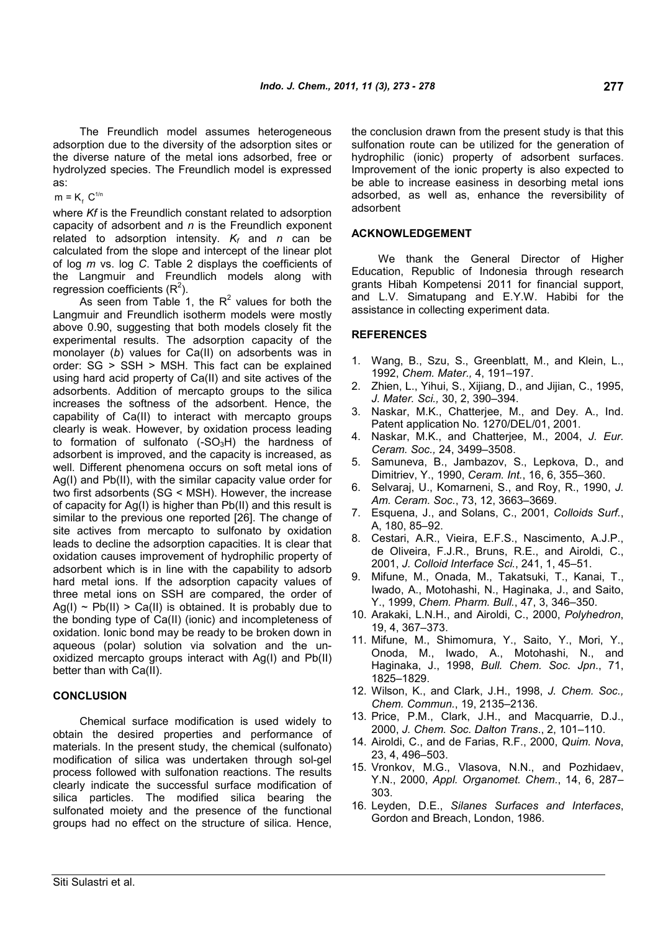The Freundlich model assumes heterogeneous adsorption due to the diversity of the adsorption sites or the diverse nature of the metal ions adsorbed, free or hydrolyzed species. The Freundlich model is expressed as:

 $m = K_f C^{1/n}$ 

where *Kf* is the Freundlich constant related to adsorption capacity of adsorbent and *n* is the Freundlich exponent related to adsorption intensity. *K<sup>f</sup>* and *n* can be calculated from the slope and intercept of the linear plot of log *m* vs. log *C*. Table 2 displays the coefficients of the Langmuir and Freundlich models along with regression coefficients  $(R<sup>2</sup>)$ .

As seen from Table 1, the  $R^2$  values for both the Langmuir and Freundlich isotherm models were mostly above 0.90, suggesting that both models closely fit the experimental results. The adsorption capacity of the monolayer (*b*) values for Ca(II) on adsorbents was in order: SG > SSH > MSH. This fact can be explained using hard acid property of Ca(II) and site actives of the adsorbents. Addition of mercapto groups to the silica increases the softness of the adsorbent. Hence, the capability of Ca(II) to interact with mercapto groups clearly is weak. However, by oxidation process leading to formation of sulfonato  $(-SO_3H)$  the hardness of adsorbent is improved, and the capacity is increased, as well. Different phenomena occurs on soft metal ions of Ag(I) and Pb(II), with the similar capacity value order for two first adsorbents (SG < MSH). However, the increase of capacity for Ag(I) is higher than Pb(II) and this result is similar to the previous one reported [26]. The change of site actives from mercapto to sulfonato by oxidation leads to decline the adsorption capacities. It is clear that oxidation causes improvement of hydrophilic property of adsorbent which is in line with the capability to adsorb hard metal ions. If the adsorption capacity values of three metal ions on SSH are compared, the order of  $Ag(I) \sim Pb(II) > Ca(II)$  is obtained. It is probably due to the bonding type of Ca(II) (ionic) and incompleteness of oxidation. Ionic bond may be ready to be broken down in aqueous (polar) solution via solvation and the unoxidized mercapto groups interact with Ag(I) and Pb(II) better than with Ca(II).

# **CONCLUSION**

Chemical surface modification is used widely to obtain the desired properties and performance of materials. In the present study, the chemical (sulfonato) modification of silica was undertaken through sol-gel process followed with sulfonation reactions. The results clearly indicate the successful surface modification of silica particles. The modified silica bearing the sulfonated moiety and the presence of the functional groups had no effect on the structure of silica. Hence, the conclusion drawn from the present study is that this sulfonation route can be utilized for the generation of hydrophilic (ionic) property of adsorbent surfaces. Improvement of the ionic property is also expected to be able to increase easiness in desorbing metal ions adsorbed, as well as, enhance the reversibility of adsorbent

# **ACKNOWLEDGEMENT**

We thank the General Director of Higher Education, Republic of Indonesia through research grants Hibah Kompetensi 2011 for financial support, and L.V. Simatupang and E.Y.W. Habibi for the assistance in collecting experiment data.

### **REFERENCES**

- 1. Wang, B., Szu, S., Greenblatt, M., and Klein, L., 1992, *Chem. Mater.,* 4, 191–197.
- 2. Zhien, L., Yihui, S., Xijiang, D., and Jijian, C., 1995, *J. Mater. Sci.,* 30, 2, 390–394.
- 3. Naskar, M.K., Chatterjee, M., and Dey. A., Ind. Patent application No. 1270/DEL/01, 2001.
- 4. Naskar, M.K., and Chatterjee, M., 2004, *J. Eur. Ceram. Soc.,* 24, 3499–3508.
- 5. Samuneva, B., Jambazov, S., Lepkova, D., and Dimitriev, Y., 1990, *Ceram. Int.*, 16, 6, 355–360.
- 6. Selvaraj, U., Komarneni, S., and Roy, R., 1990, *J. Am. Ceram. Soc.*, 73, 12, 3663–3669.
- 7. Esquena, J., and Solans, C., 2001, *Colloids Surf.*, A, 180, 85–92.
- 8. Cestari, A.R., Vieira, E.F.S., Nascimento, A.J.P., de Oliveira, F.J.R., Bruns, R.E., and Airoldi, C., 2001, *J. Colloid Interface Sci.*, 241, 1, 45–51.
- 9. Mifune, M., Onada, M., Takatsuki, T., Kanai, T., Iwado, A., Motohashi, N., Haginaka, J., and Saito, Y., 1999, *Chem. Pharm. Bull.*, 47, 3, 346–350.
- 10. Arakaki, L.N.H., and Airoldi, C., 2000, *Polyhedron*, 19, 4, 367–373.
- 11. Mifune, M., Shimomura, Y., Saito, Y., Mori, Y., Onoda, M., Iwado, A., Motohashi, N., and Haginaka, J., 1998, *Bull. Chem. Soc. Jpn*., 71, 1825–1829.
- 12. Wilson, K., and Clark, J.H., 1998, *J. Chem. Soc., Chem. Commun.*, 19, 2135–2136.
- 13. Price, P.M., Clark, J.H., and Macquarrie, D.J., 2000, *J. Chem. Soc. Dalton Trans*., 2, 101–110.
- 14. Airoldi, C., and de Farias, R.F., 2000, *Quim. Nova*, 23, 4, 496–503.
- 15. Vronkov, M.G., Vlasova, N.N., and Pozhidaev, Y.N., 2000, *Appl. Organomet. Chem.*, 14, 6, 287– 303.
- 16. Leyden, D.E., *Silanes Surfaces and Interfaces*, Gordon and Breach, London, 1986.